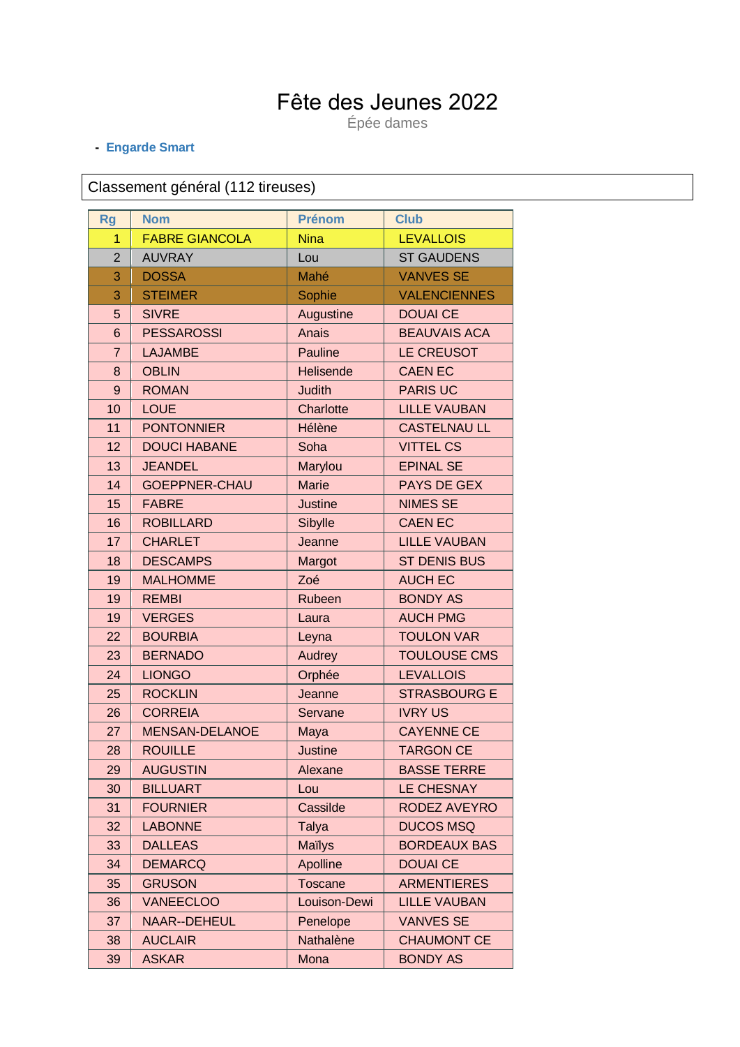## Fête des Jeunes 2022

Épée dames

## - Engarde Smart

## Classement général (112 tireuses)

| <b>Rg</b>      | <b>Nom</b>            | <b>Prénom</b>  | <b>Club</b>         |
|----------------|-----------------------|----------------|---------------------|
| 1              | <b>FABRE GIANCOLA</b> | <b>Nina</b>    | <b>LEVALLOIS</b>    |
| $\overline{2}$ | <b>AUVRAY</b>         | Lou            | <b>ST GAUDENS</b>   |
| 3              | <b>DOSSA</b>          | Mahé           | <b>VANVES SE</b>    |
| 3              | <b>STEIMER</b>        | Sophie         | <b>VALENCIENNES</b> |
| 5              | <b>SIVRE</b>          | Augustine      | <b>DOUAI CE</b>     |
| 6              | <b>PESSAROSSI</b>     | Anais          | <b>BEAUVAIS ACA</b> |
| $\overline{7}$ | <b>LAJAMBE</b>        | Pauline        | LE CREUSOT          |
| 8              | <b>OBLIN</b>          | Helisende      | <b>CAEN EC</b>      |
| 9              | <b>ROMAN</b>          | <b>Judith</b>  | <b>PARIS UC</b>     |
| 10             | <b>LOUE</b>           | Charlotte      | <b>LILLE VAUBAN</b> |
| 11             | <b>PONTONNIER</b>     | Hélène         | <b>CASTELNAU LL</b> |
| 12             | <b>DOUCI HABANE</b>   | Soha           | <b>VITTEL CS</b>    |
| 13             | <b>JEANDEL</b>        | Marylou        | <b>EPINAL SE</b>    |
| 14             | <b>GOEPPNER-CHAU</b>  | <b>Marie</b>   | <b>PAYS DE GEX</b>  |
| 15             | <b>FABRE</b>          | <b>Justine</b> | <b>NIMES SE</b>     |
| 16             | <b>ROBILLARD</b>      | Sibylle        | <b>CAEN EC</b>      |
| 17             | <b>CHARLET</b>        | Jeanne         | <b>LILLE VAUBAN</b> |
| 18             | <b>DESCAMPS</b>       | Margot         | <b>ST DENIS BUS</b> |
| 19             | <b>MALHOMME</b>       | Zoé            | <b>AUCH EC</b>      |
| 19             | <b>REMBI</b>          | Rubeen         | <b>BONDY AS</b>     |
| 19             | <b>VERGES</b>         | Laura          | <b>AUCH PMG</b>     |
| 22             | <b>BOURBIA</b>        | Leyna          | <b>TOULON VAR</b>   |
| 23             | <b>BERNADO</b>        | Audrey         | <b>TOULOUSE CMS</b> |
| 24             | <b>LIONGO</b>         | Orphée         | <b>LEVALLOIS</b>    |
| 25             | <b>ROCKLIN</b>        | Jeanne         | <b>STRASBOURG E</b> |
| 26             | <b>CORREIA</b>        | Servane        | <b>IVRY US</b>      |
| 27             | <b>MENSAN-DELANOE</b> | Maya           | <b>CAYENNE CE</b>   |
| 28             | <b>ROUILLE</b>        | <b>Justine</b> | <b>TARGON CE</b>    |
| 29             | <b>AUGUSTIN</b>       | Alexane        | <b>BASSE TERRE</b>  |
| 30             | <b>BILLUART</b>       | Lou            | <b>LE CHESNAY</b>   |
| 31             | <b>FOURNIER</b>       | Cassilde       | RODEZ AVEYRO        |
| 32             | <b>LABONNE</b>        | Talya          | <b>DUCOS MSQ</b>    |
| 33             | <b>DALLEAS</b>        | <b>Maïlys</b>  | <b>BORDEAUX BAS</b> |
| 34             | <b>DEMARCQ</b>        | Apolline       | <b>DOUAI CE</b>     |
| 35             | <b>GRUSON</b>         | <b>Toscane</b> | <b>ARMENTIERES</b>  |
| 36             | <b>VANEECLOO</b>      | Louison-Dewi   | <b>LILLE VAUBAN</b> |
| 37             | <b>NAAR--DEHEUL</b>   | Penelope       | <b>VANVES SE</b>    |
| 38             | <b>AUCLAIR</b>        | Nathalène      | <b>CHAUMONT CE</b>  |
| 39             | <b>ASKAR</b>          | Mona           | <b>BONDY AS</b>     |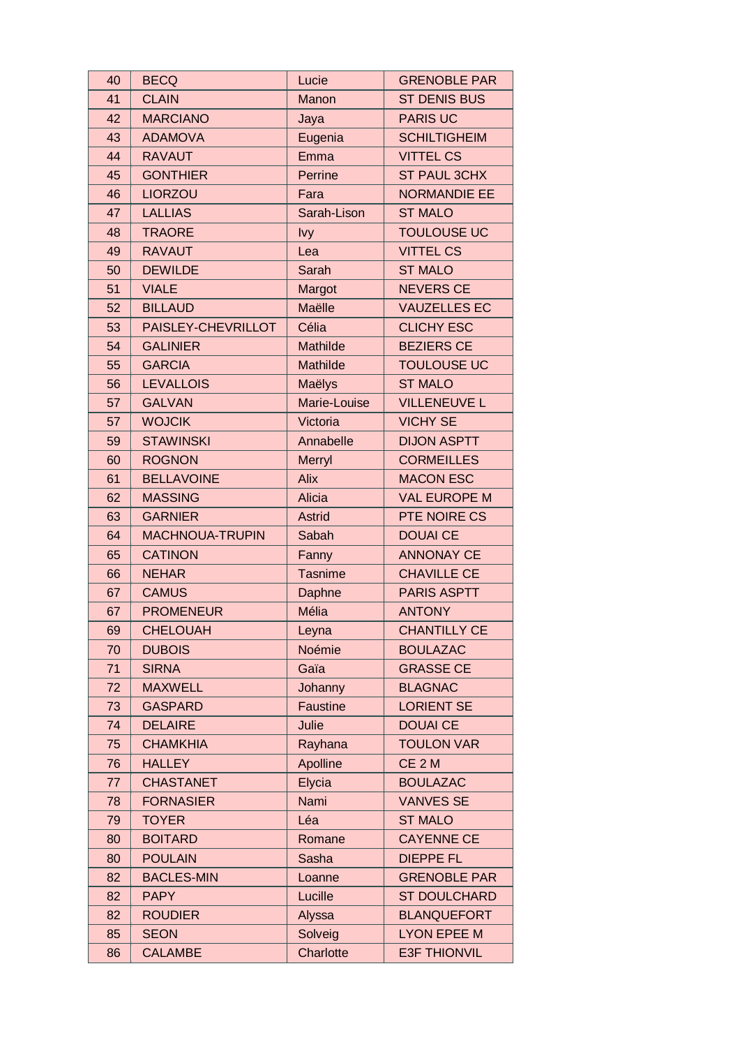| 40 | <b>BECQ</b>            | Lucie          | <b>GRENOBLE PAR</b> |
|----|------------------------|----------------|---------------------|
| 41 | <b>CLAIN</b>           | Manon          | <b>ST DENIS BUS</b> |
| 42 | <b>MARCIANO</b>        | Jaya           | <b>PARIS UC</b>     |
| 43 | <b>ADAMOVA</b>         | Eugenia        | <b>SCHILTIGHEIM</b> |
| 44 | <b>RAVAUT</b>          | Emma           | <b>VITTEL CS</b>    |
| 45 | <b>GONTHIER</b>        | Perrine        | <b>ST PAUL 3CHX</b> |
| 46 | <b>LIORZOU</b>         | Fara           | <b>NORMANDIE EE</b> |
| 47 | <b>LALLIAS</b>         | Sarah-Lison    | <b>ST MALO</b>      |
| 48 | <b>TRAORE</b>          | <b>lvy</b>     | <b>TOULOUSE UC</b>  |
| 49 | <b>RAVAUT</b>          | Lea            | <b>VITTEL CS</b>    |
| 50 | <b>DEWILDE</b>         | Sarah          | <b>ST MALO</b>      |
| 51 | <b>VIALE</b>           | Margot         | <b>NEVERS CE</b>    |
| 52 | <b>BILLAUD</b>         | Maëlle         | <b>VAUZELLES EC</b> |
| 53 | PAISLEY-CHEVRILLOT     | Célia          | <b>CLICHY ESC</b>   |
| 54 | <b>GALINIER</b>        | Mathilde       | <b>BEZIERS CE</b>   |
| 55 | <b>GARCIA</b>          | Mathilde       | <b>TOULOUSE UC</b>  |
| 56 | <b>LEVALLOIS</b>       | Maëlys         | <b>ST MALO</b>      |
| 57 | <b>GALVAN</b>          | Marie-Louise   | <b>VILLENEUVE L</b> |
| 57 | <b>WOJCIK</b>          | Victoria       | <b>VICHY SE</b>     |
| 59 | <b>STAWINSKI</b>       | Annabelle      | <b>DIJON ASPTT</b>  |
| 60 | <b>ROGNON</b>          | Merryl         | <b>CORMEILLES</b>   |
| 61 | <b>BELLAVOINE</b>      | Alix           | <b>MACON ESC</b>    |
| 62 | <b>MASSING</b>         | Alicia         | <b>VAL EUROPE M</b> |
| 63 | <b>GARNIER</b>         | <b>Astrid</b>  | PTE NOIRE CS        |
| 64 | <b>MACHNOUA-TRUPIN</b> | Sabah          | <b>DOUAI CE</b>     |
| 65 | <b>CATINON</b>         | Fanny          | <b>ANNONAY CE</b>   |
| 66 | <b>NEHAR</b>           | <b>Tasnime</b> | <b>CHAVILLE CE</b>  |
| 67 | <b>CAMUS</b>           | Daphne         | <b>PARIS ASPTT</b>  |
| 67 | <b>PROMENEUR</b>       | Mélia          | <b>ANTONY</b>       |
| 69 | <b>CHELOUAH</b>        | Leyna          | <b>CHANTILLY CE</b> |
| 70 | <b>DUBOIS</b>          | Noémie         | <b>BOULAZAC</b>     |
| 71 | <b>SIRNA</b>           | Gaïa           | <b>GRASSE CE</b>    |
| 72 | <b>MAXWELL</b>         | Johanny        | <b>BLAGNAC</b>      |
| 73 | <b>GASPARD</b>         | Faustine       | <b>LORIENT SE</b>   |
| 74 | <b>DELAIRE</b>         | Julie          | <b>DOUAI CE</b>     |
| 75 | <b>CHAMKHIA</b>        | Rayhana        | <b>TOULON VAR</b>   |
| 76 | <b>HALLEY</b>          | Apolline       | CE <sub>2M</sub>    |
| 77 | <b>CHASTANET</b>       | Elycia         | <b>BOULAZAC</b>     |
| 78 | <b>FORNASIER</b>       | Nami           | <b>VANVES SE</b>    |
| 79 | <b>TOYER</b>           | Léa            | <b>ST MALO</b>      |
| 80 | <b>BOITARD</b>         | Romane         | <b>CAYENNE CE</b>   |
| 80 | <b>POULAIN</b>         | Sasha          | <b>DIEPPE FL</b>    |
| 82 | <b>BACLES-MIN</b>      | Loanne         | <b>GRENOBLE PAR</b> |
| 82 | <b>PAPY</b>            | Lucille        | <b>ST DOULCHARD</b> |
| 82 | <b>ROUDIER</b>         | Alyssa         | <b>BLANQUEFORT</b>  |
| 85 | <b>SEON</b>            | Solveig        | <b>LYON EPEE M</b>  |
| 86 | <b>CALAMBE</b>         | Charlotte      | <b>E3F THIONVIL</b> |